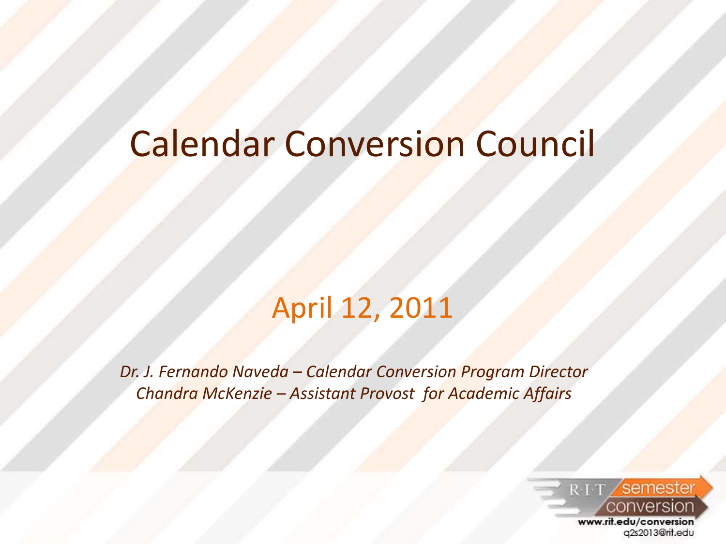### Calendar Conversion Council

#### April 12, 2011

*Dr. J. Fernando Naveda – Calendar Conversion Program Director Chandra McKenzie – Assistant Provost for Academic Affairs*

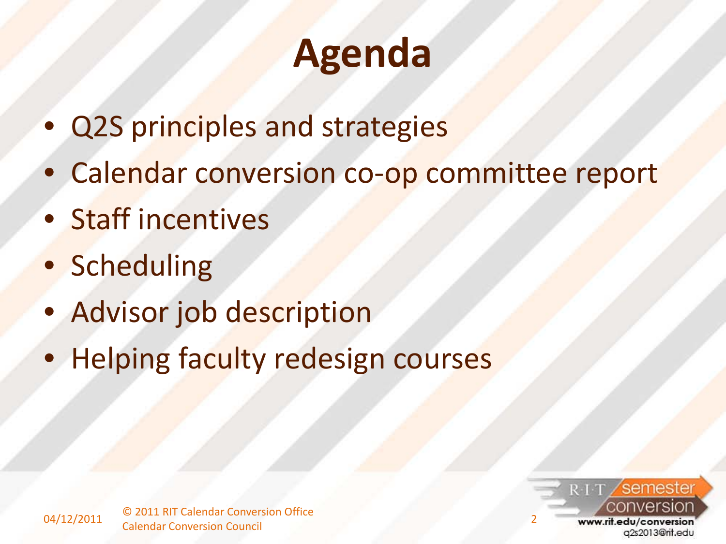## **Agenda**

- Q2S principles and strategies
- Calendar conversion co-op committee report
- Staff incentives
- Scheduling
- Advisor job description
- Helping faculty redesign courses

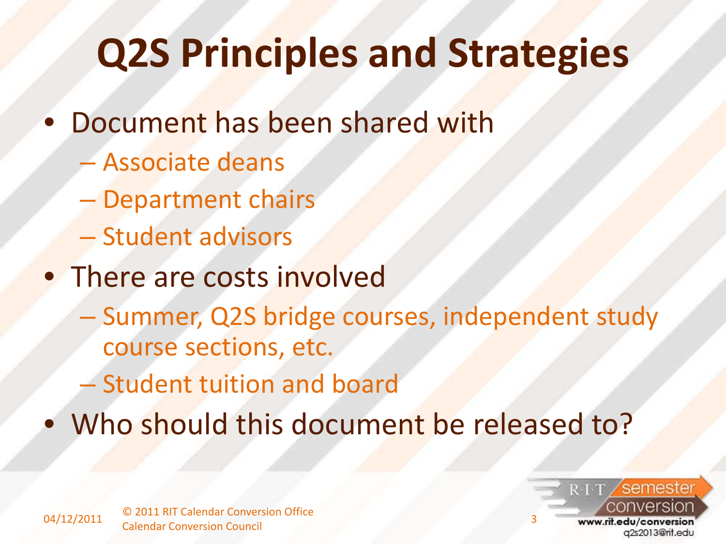# **Q2S Principles and Strategies**

- Document has been shared with
	- Associate deans
	- Department chairs
	- Student advisors
- There are costs involved
	- Summer, Q2S bridge courses, independent study course sections, etc.
	- Student tuition and board
- Who should this document be released to?

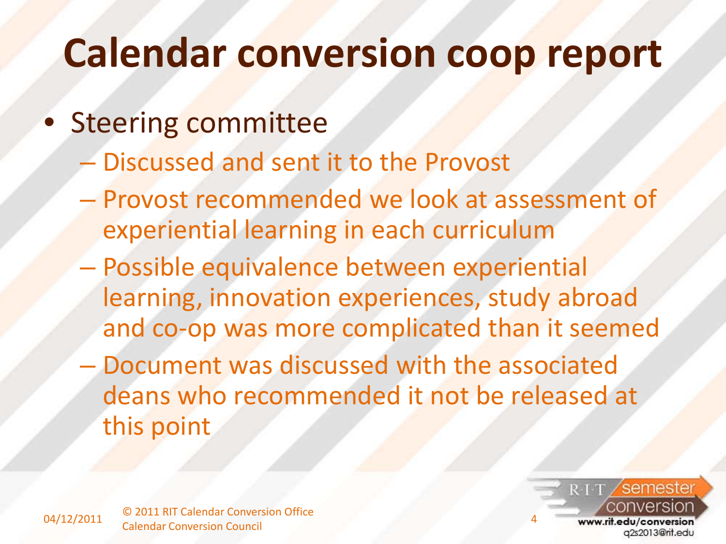### **Calendar conversion coop report**

#### **Steering committee**

- Discussed and sent it to the Provost
- Provost recommended we look at assessment of experiential learning in each curriculum
- Possible equivalence between experiential learning, innovation experiences, study abroad and co-op was more complicated than it seemed
- Document was discussed with the associated deans who recommended it not be released at this point

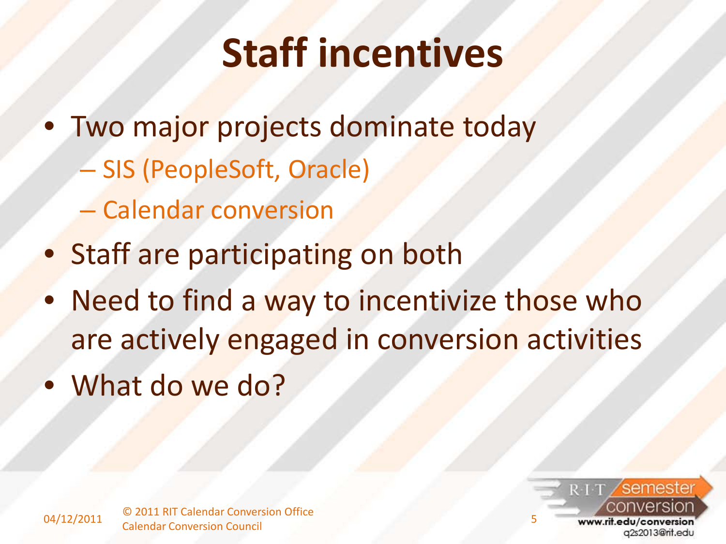## **Staff incentives**

- Two major projects dominate today
	- SIS (PeopleSoft, Oracle)
	- Calendar conversion
- Staff are participating on both
- Need to find a way to incentivize those who are actively engaged in conversion activities
- What do we do?

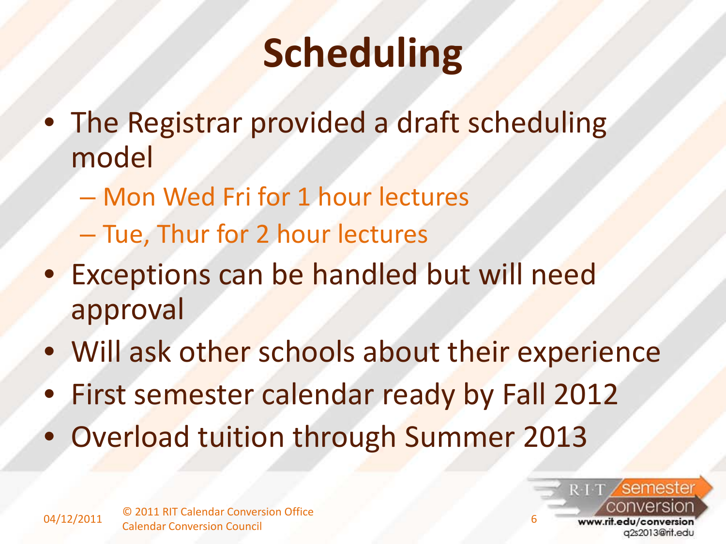## **Scheduling**

- The Registrar provided a draft scheduling model
	- Mon Wed Fri for 1 hour lectures
	- Tue, Thur for 2 hour lectures
- Exceptions can be handled but will need approval
- Will ask other schools about their experience
- First semester calendar ready by Fall 2012
- Overload tuition through Summer 2013

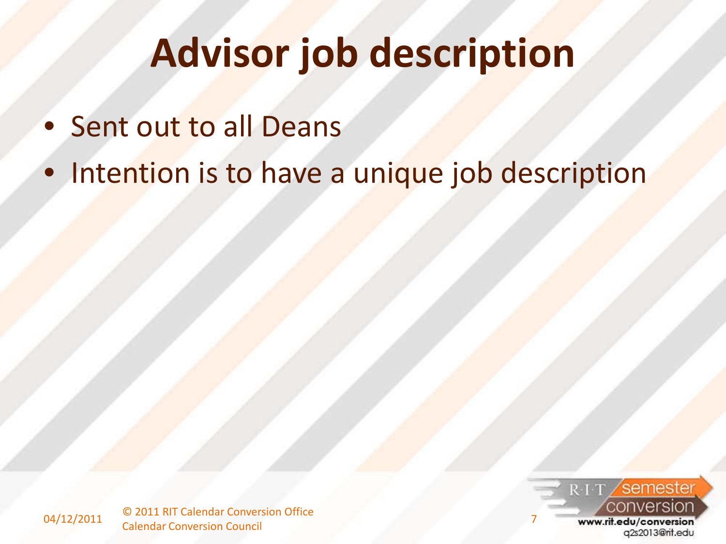# **Advisor job description**

- Sent out to all Deans
- Intention is to have a unique job description